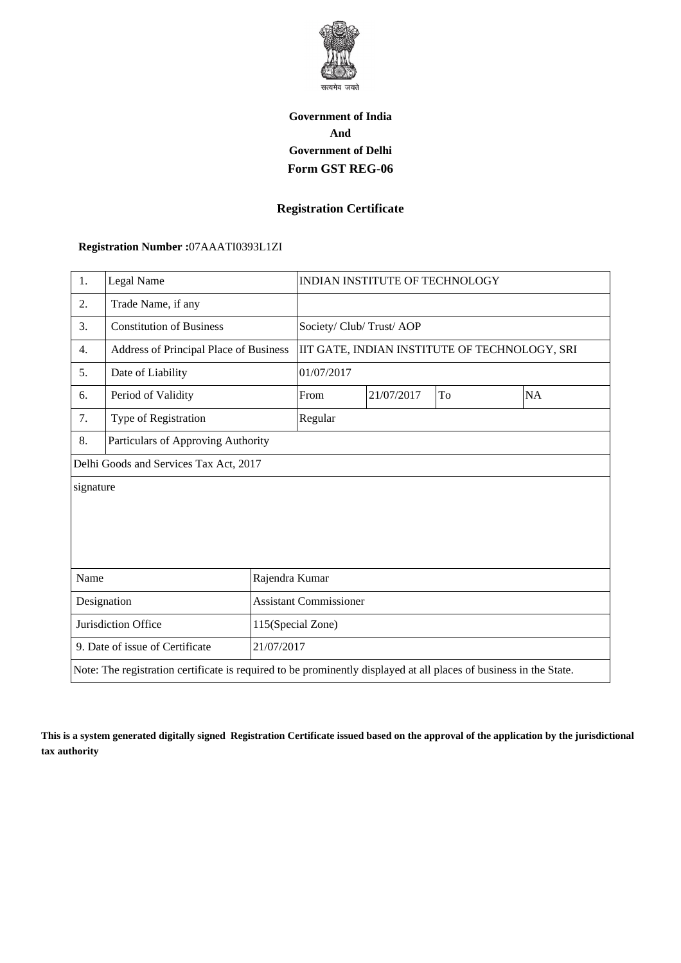

# **Government of India And Government of Delhi Form GST REG-06**

#### **Registration Certificate**

#### **Registration Number :**07AAATI0393L1ZI

| 1.                                                                                                                 | Legal Name                             |  |                                               | <b>INDIAN INSTITUTE OF TECHNOLOGY</b> |    |           |  |
|--------------------------------------------------------------------------------------------------------------------|----------------------------------------|--|-----------------------------------------------|---------------------------------------|----|-----------|--|
| 2.                                                                                                                 | Trade Name, if any                     |  |                                               |                                       |    |           |  |
| 3.                                                                                                                 | <b>Constitution of Business</b>        |  | Society/ Club/ Trust/ AOP                     |                                       |    |           |  |
| 4.                                                                                                                 | Address of Principal Place of Business |  | IIT GATE, INDIAN INSTITUTE OF TECHNOLOGY, SRI |                                       |    |           |  |
| 5.                                                                                                                 | Date of Liability                      |  | 01/07/2017                                    |                                       |    |           |  |
| 6.                                                                                                                 | Period of Validity                     |  | From                                          | 21/07/2017                            | To | <b>NA</b> |  |
| 7.                                                                                                                 | Type of Registration                   |  | Regular                                       |                                       |    |           |  |
| 8.                                                                                                                 | Particulars of Approving Authority     |  |                                               |                                       |    |           |  |
| Delhi Goods and Services Tax Act, 2017                                                                             |                                        |  |                                               |                                       |    |           |  |
| signature                                                                                                          |                                        |  |                                               |                                       |    |           |  |
|                                                                                                                    |                                        |  |                                               |                                       |    |           |  |
|                                                                                                                    |                                        |  |                                               |                                       |    |           |  |
|                                                                                                                    |                                        |  |                                               |                                       |    |           |  |
| Name<br>Rajendra Kumar                                                                                             |                                        |  |                                               |                                       |    |           |  |
| Designation                                                                                                        |                                        |  | <b>Assistant Commissioner</b>                 |                                       |    |           |  |
| Jurisdiction Office                                                                                                |                                        |  | 115(Special Zone)                             |                                       |    |           |  |
| 9. Date of issue of Certificate<br>21/07/2017                                                                      |                                        |  |                                               |                                       |    |           |  |
| Note: The registration certificate is required to be prominently displayed at all places of business in the State. |                                        |  |                                               |                                       |    |           |  |

**This is a system generated digitally signed Registration Certificate issued based on the approval of the application by the jurisdictional tax authority**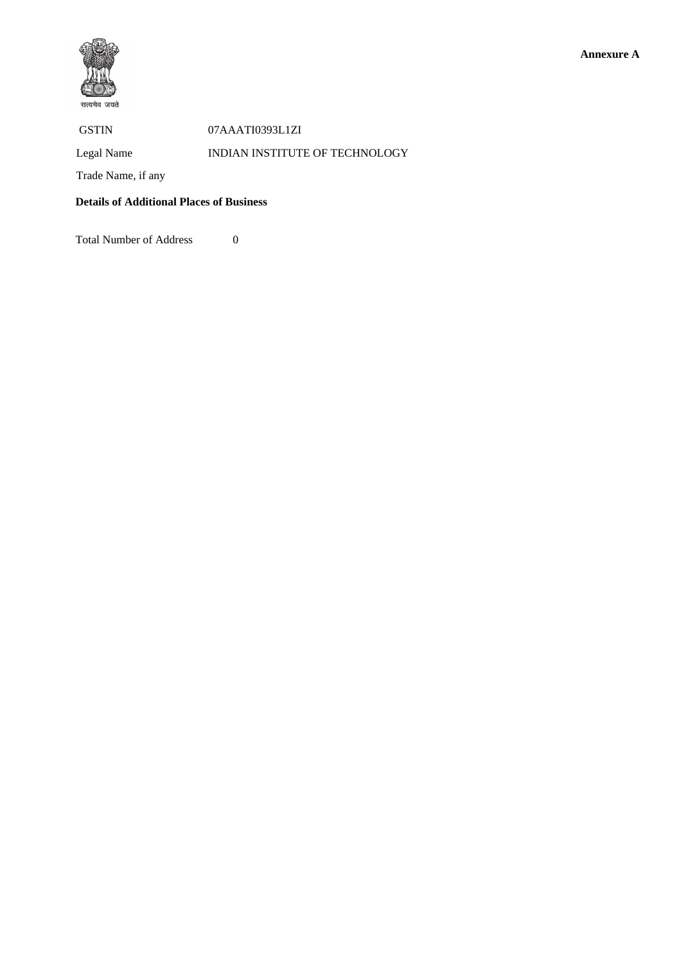



#### GSTIN 07AAATI0393L1ZI

## Legal Name INDIAN INSTITUTE OF TECHNOLOGY

Trade Name, if any

### **Details of Additional Places of Business**

Total Number of Address 0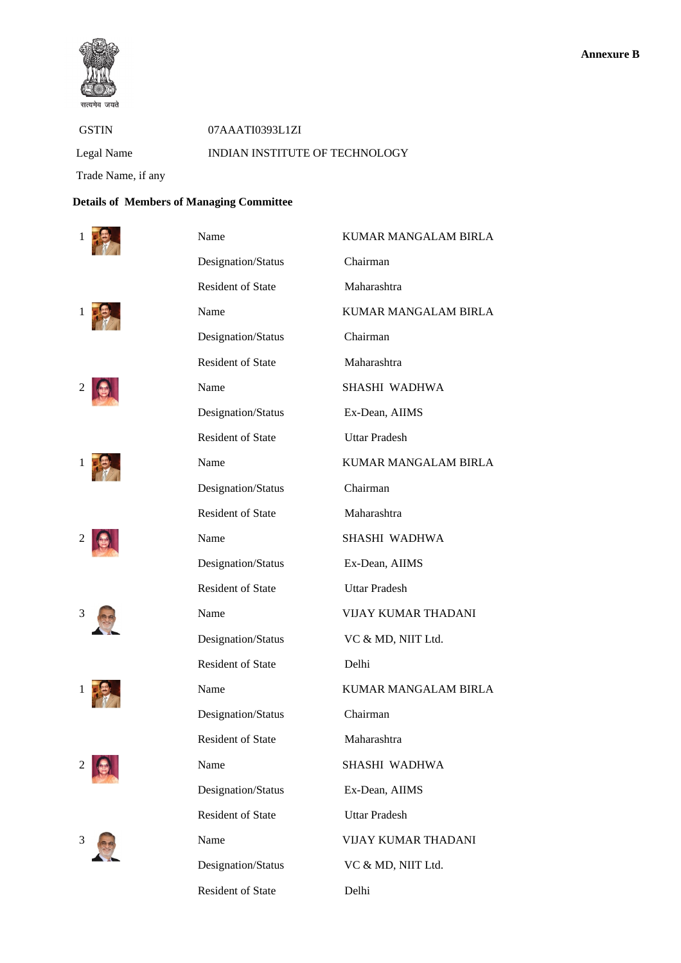

 GSTIN 07AAATI0393L1ZI Legal Name INDIAN INSTITUTE OF TECHNOLOGY

Trade Name, if any

## **Details of Members of Managing Committee**



















| 1 | Name                     | <b>KUMAR MANGALAM BIRLA</b> |
|---|--------------------------|-----------------------------|
|   | Designation/Status       | Chairman                    |
|   | <b>Resident of State</b> | Maharashtra                 |
|   | Name                     | KUMAR MANGALAM BIRLA        |
|   | Designation/Status       | Chairman                    |
|   | <b>Resident of State</b> | Maharashtra                 |
|   | Name                     | SHASHI WADHWA               |
|   | Designation/Status       | Ex-Dean, AIIMS              |
|   | <b>Resident of State</b> | <b>Uttar Pradesh</b>        |
|   | Name                     | KUMAR MANGALAM BIRLA        |
|   | Designation/Status       | Chairman                    |
|   | <b>Resident of State</b> | Maharashtra                 |
|   | Name                     | SHASHI WADHWA               |
|   | Designation/Status       | Ex-Dean, AIIMS              |
|   | <b>Resident of State</b> | <b>Uttar Pradesh</b>        |
| 3 | Name                     | VIJAY KUMAR THADANI         |
|   | Designation/Status       | VC & MD, NIIT Ltd.          |
|   | <b>Resident of State</b> | Delhi                       |
|   | Name                     | KUMAR MANGALAM BIRLA        |
|   | Designation/Status       | Chairman                    |
|   | <b>Resident of State</b> | Maharashtra                 |
|   | Name                     | SHASHI WADHWA               |
|   | Designation/Status       | Ex-Dean, AIIMS              |
|   | <b>Resident of State</b> | <b>Uttar Pradesh</b>        |
| 3 | Name                     | VIJAY KUMAR THADANI         |
|   | Designation/Status       | VC & MD, NIIT Ltd.          |
|   | <b>Resident of State</b> | Delhi                       |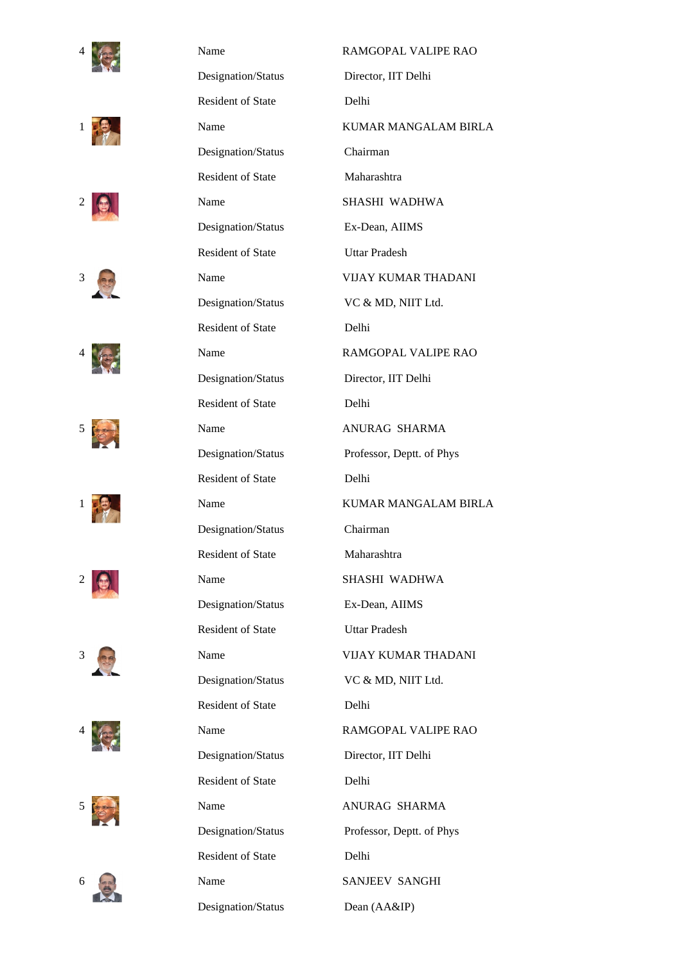























| 4 | Name                     | RAMGOPAL VALIPE RAO         |
|---|--------------------------|-----------------------------|
|   | Designation/Status       | Director, IIT Delhi         |
|   | <b>Resident of State</b> | Delhi                       |
|   | Name                     | <b>KUMAR MANGALAM BIRLA</b> |
|   | Designation/Status       | Chairman                    |
|   | <b>Resident of State</b> | Maharashtra                 |
|   | Name                     | SHASHI WADHWA               |
|   | Designation/Status       | Ex-Dean, AIIMS              |
|   | <b>Resident of State</b> | <b>Uttar Pradesh</b>        |
| 3 | Name                     | VIJAY KUMAR THADANI         |
|   | Designation/Status       | VC & MD, NIIT Ltd.          |
|   | <b>Resident of State</b> | Delhi                       |
|   | Name                     | RAMGOPAL VALIPE RAO         |
|   | Designation/Status       | Director, IIT Delhi         |
|   | <b>Resident of State</b> | Delhi                       |
|   | Name                     | ANURAG SHARMA               |
|   | Designation/Status       | Professor, Deptt. of Phys   |
|   | <b>Resident of State</b> | Delhi                       |
|   | Name                     | KUMAR MANGALAM BIRLA        |
|   | Designation/Status       | Chairman                    |
|   | <b>Resident of State</b> | Maharashtra                 |
|   | Name                     | SHASHI WADHWA               |
|   | Designation/Status       | Ex-Dean, AIIMS              |
|   | <b>Resident of State</b> | <b>Uttar Pradesh</b>        |
| 3 | Name                     | <b>VIJAY KUMAR THADANI</b>  |
|   | Designation/Status       | VC & MD, NIIT Ltd.          |
|   | <b>Resident of State</b> | Delhi                       |
|   | Name                     | RAMGOPAL VALIPE RAO         |
|   | Designation/Status       | Director, IIT Delhi         |
|   | <b>Resident of State</b> | Delhi                       |
|   | Name                     | ANURAG SHARMA               |
|   | Designation/Status       | Professor, Deptt. of Phys   |
|   | <b>Resident of State</b> | Delhi                       |
| 6 | Name                     | SANJEEV SANGHI              |
|   | Designation/Status       | Dean (AA&IP)                |